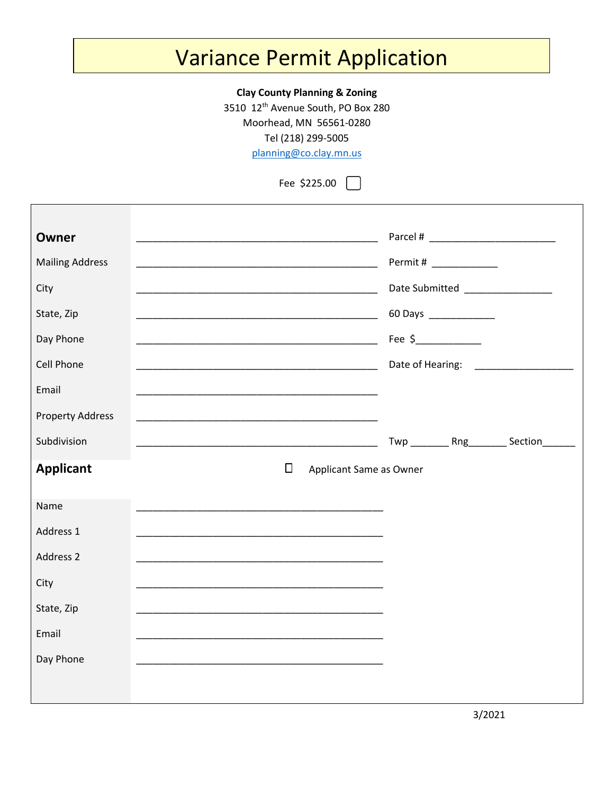## Variance Permit Application

## **Clay County Planning & Zoning**

3510 12<sup>th</sup> Avenue South, PO Box 280

Moorhead, MN 56561-0280

Tel (218) 299-5005

[planning@co.clay.mn.us](mailto:planning@co.clay.mn.us)

Fee \$225.00

| <b>Owner</b><br><b>Mailing Address</b><br>City<br>State, Zip<br>Day Phone<br><b>Cell Phone</b><br>Email |  |        | <u> 1990 - Johann John Stone, mars et al. (1990)</u>                                                                                                                                | Permit # _____________<br>60 Days _____________<br>Fee $\frac{2}{2}$ $\frac{2}{2}$ $\frac{2}{2}$ $\frac{2}{2}$ $\frac{2}{2}$ $\frac{2}{2}$ $\frac{2}{2}$ $\frac{2}{2}$ $\frac{2}{2}$ $\frac{2}{2}$ $\frac{2}{2}$ $\frac{2}{2}$ $\frac{2}{2}$ $\frac{2}{2}$ $\frac{2}{2}$ $\frac{2}{2}$ $\frac{2}{2}$ $\frac{2}{2}$ $\frac{2}{2}$ $\frac{2}{2}$ $\frac{2}{2}$ $\frac{2}{2$ | Date Submitted ______________<br>Date of Hearing: ___________________ |
|---------------------------------------------------------------------------------------------------------|--|--------|-------------------------------------------------------------------------------------------------------------------------------------------------------------------------------------|---------------------------------------------------------------------------------------------------------------------------------------------------------------------------------------------------------------------------------------------------------------------------------------------------------------------------------------------------------------------------|-----------------------------------------------------------------------|
| <b>Property Address</b><br>Subdivision<br><b>Applicant</b>                                              |  | $\Box$ | Applicant Same as Owner                                                                                                                                                             |                                                                                                                                                                                                                                                                                                                                                                           | Twp __________ Rng__________ Section________                          |
| Name<br>Address 1<br>Address 2<br>City<br>State, Zip<br>Email<br>Day Phone                              |  |        | <u> 1990 - Jan James James James James James James James James James James James James James James James James J</u><br><u> 1989 - Johann Stoff, amerikansk politiker (d. 1989)</u> |                                                                                                                                                                                                                                                                                                                                                                           |                                                                       |